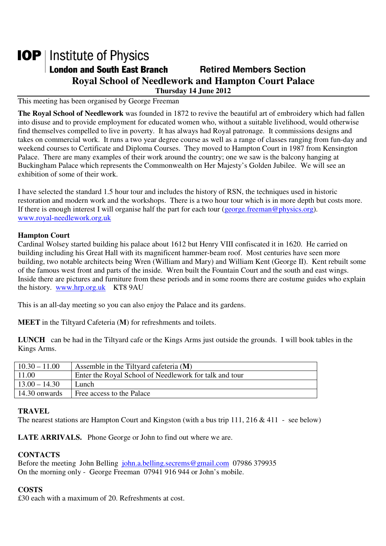# **IOP** | Institute of Physics **London and South East Branch Fig. 2.1 Retired Members Section Royal School of Needlework and Hampton Court Palace Thursday 14 June 2012**

## This meeting has been organised by George Freeman

**The Royal School of Needlework** was founded in 1872 to revive the beautiful art of embroidery which had fallen into disuse and to provide employment for educated women who, without a suitable livelihood, would otherwise find themselves compelled to live in poverty. It has always had Royal patronage. It commissions designs and takes on commercial work. It runs a two year degree course as well as a range of classes ranging from fun-day and weekend courses to Certificate and Diploma Courses. They moved to Hampton Court in 1987 from Kensington Palace. There are many examples of their work around the country; one we saw is the balcony hanging at Buckingham Palace which represents the Commonwealth on Her Majesty's Golden Jubilee. We will see an exhibition of some of their work.

I have selected the standard 1.5 hour tour and includes the history of RSN, the techniques used in historic restoration and modern work and the workshops. There is a two hour tour which is in more depth but costs more. If there is enough interest I will organise half the part for each tour (george.freeman@physics.org). www.royal-needlework.org.uk

#### **Hampton Court**

Cardinal Wolsey started building his palace about 1612 but Henry VIII confiscated it in 1620. He carried on building including his Great Hall with its magnificent hammer-beam roof. Most centuries have seen more building, two notable architects being Wren (William and Mary) and William Kent (George II). Kent rebuilt some of the famous west front and parts of the inside. Wren built the Fountain Court and the south and east wings. Inside there are pictures and furniture from these periods and in some rooms there are costume guides who explain the history. www.hrp.org.uk KT8 9AU

This is an all-day meeting so you can also enjoy the Palace and its gardens.

**MEET** in the Tiltyard Cafeteria (**M**) for refreshments and toilets.

**LUNCH** can be had in the Tiltyard cafe or the Kings Arms just outside the grounds. I will book tables in the Kings Arms.

| $10.30 - 11.00$ | Assemble in the Tiltyard cafeteria (M)                 |
|-----------------|--------------------------------------------------------|
| 11.00           | Enter the Royal School of Needlework for talk and tour |
| $13.00 - 14.30$ | Lunch                                                  |
| 14.30 onwards   | Free access to the Palace                              |
|                 |                                                        |

#### **TRAVEL**

The nearest stations are Hampton Court and Kingston (with a bus trip 111, 216 & 411 - see below)

**LATE ARRIVALS.** Phone George or John to find out where we are.

#### **CONTACTS**

Before the meeting John Belling john.a.belling.secrems@gmail.com 07986 379935 On the morning only - George Freeman 07941 916 944 or John's mobile.

#### **COSTS**

£30 each with a maximum of 20. Refreshments at cost.